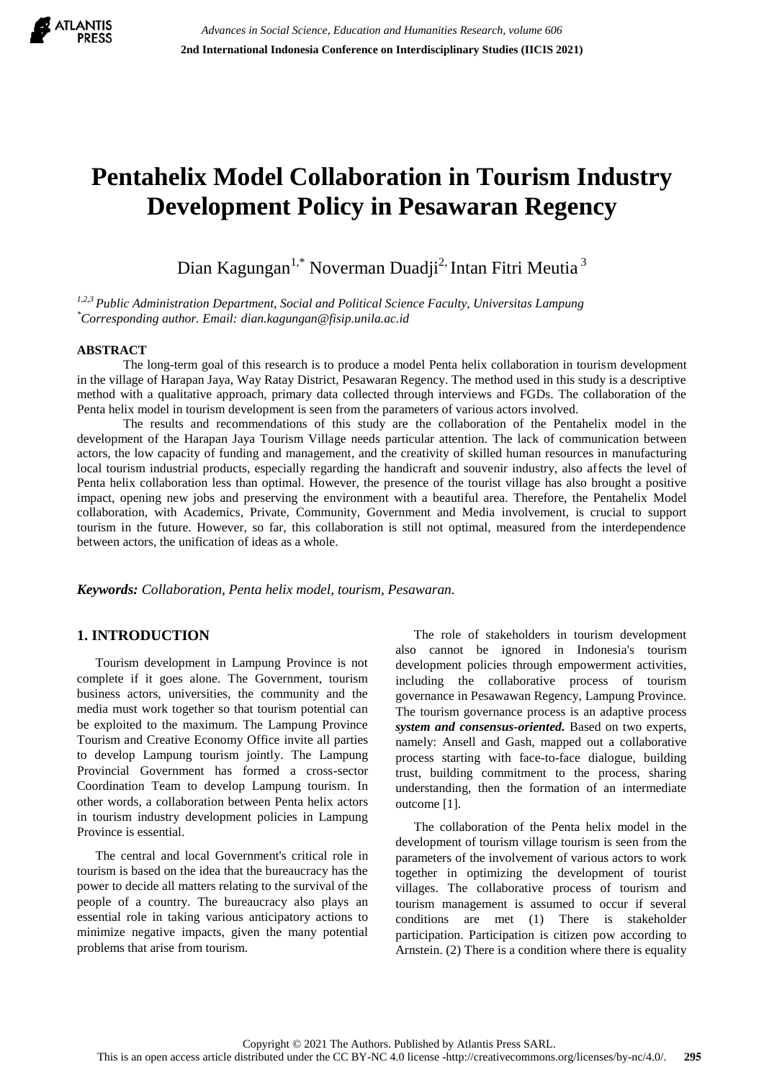

# **Pentahelix Model Collaboration in Tourism Industry Development Policy in Pesawaran Regency**

Dian Kagungan<sup>1,\*</sup> Noverman Duadji<sup>2,</sup> Intan Fitri Meutia<sup>3</sup>

*1,2,3 Public Administration Department, Social and Political Science Faculty, Universitas Lampung \*Corresponding author. Email: dian.kagungan@fisip.unila.ac.id* 

#### **ABSTRACT**

The long-term goal of this research is to produce a model Penta helix collaboration in tourism development in the village of Harapan Jaya, Way Ratay District, Pesawaran Regency. The method used in this study is a descriptive method with a qualitative approach, primary data collected through interviews and FGDs. The collaboration of the Penta helix model in tourism development is seen from the parameters of various actors involved.

The results and recommendations of this study are the collaboration of the Pentahelix model in the development of the Harapan Jaya Tourism Village needs particular attention. The lack of communication between actors, the low capacity of funding and management, and the creativity of skilled human resources in manufacturing local tourism industrial products, especially regarding the handicraft and souvenir industry, also affects the level of Penta helix collaboration less than optimal. However, the presence of the tourist village has also brought a positive impact, opening new jobs and preserving the environment with a beautiful area. Therefore, the Pentahelix Model collaboration, with Academics, Private, Community, Government and Media involvement, is crucial to support tourism in the future. However, so far, this collaboration is still not optimal, measured from the interdependence between actors, the unification of ideas as a whole.

*Keywords: Collaboration, Penta helix model, tourism, Pesawaran.* 

#### **1. INTRODUCTION**

Tourism development in Lampung Province is not complete if it goes alone. The Government, tourism business actors, universities, the community and the media must work together so that tourism potential can be exploited to the maximum. The Lampung Province Tourism and Creative Economy Office invite all parties to develop Lampung tourism jointly. The Lampung Provincial Government has formed a cross-sector Coordination Team to develop Lampung tourism. In other words, a collaboration between Penta helix actors in tourism industry development policies in Lampung Province is essential.

The central and local Government's critical role in tourism is based on the idea that the bureaucracy has the power to decide all matters relating to the survival of the people of a country. The bureaucracy also plays an essential role in taking various anticipatory actions to minimize negative impacts, given the many potential problems that arise from tourism.

The role of stakeholders in tourism development also cannot be ignored in Indonesia's tourism development policies through empowerment activities, including the collaborative process of tourism governance in Pesawawan Regency, Lampung Province. The tourism governance process is an adaptive process *system and consensus-oriented.* Based on two experts, namely: Ansell and Gash, mapped out a collaborative process starting with face-to-face dialogue, building trust, building commitment to the process, sharing understanding, then the formation of an intermediate outcome [1].

The collaboration of the Penta helix model in the development of tourism village tourism is seen from the parameters of the involvement of various actors to work together in optimizing the development of tourist villages. The collaborative process of tourism and tourism management is assumed to occur if several conditions are met (1) There is stakeholder participation. Participation is citizen pow according to Arnstein. (2) There is a condition where there is equality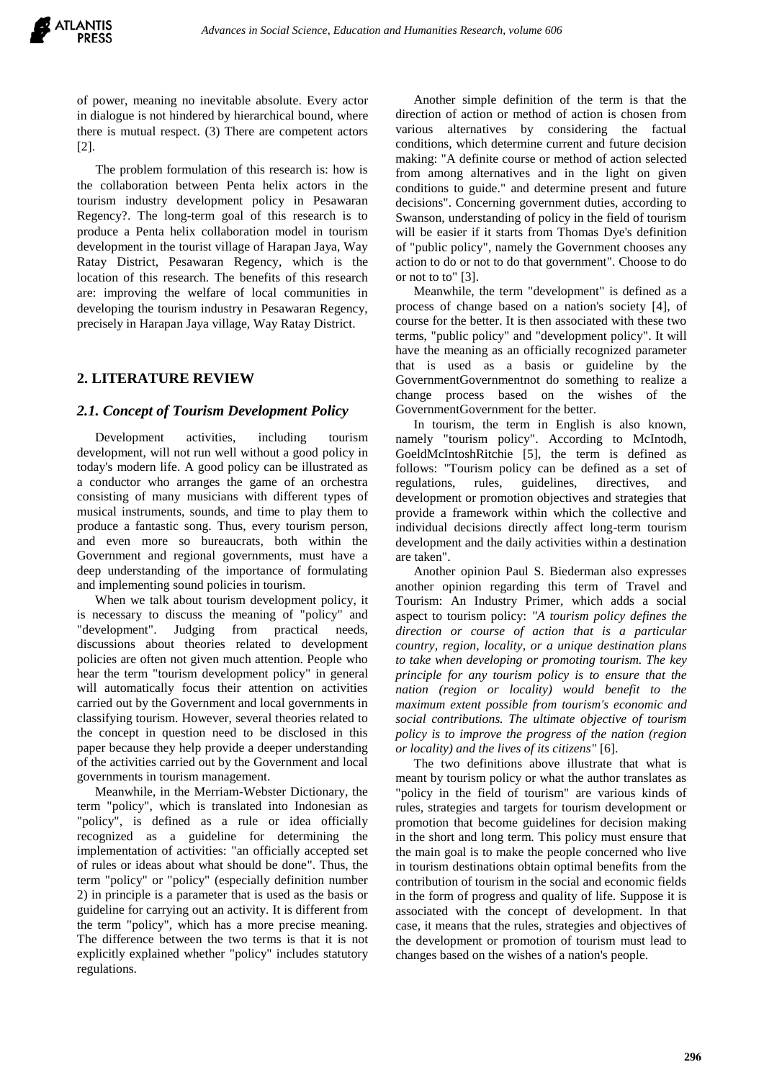of power, meaning no inevitable absolute. Every actor in dialogue is not hindered by hierarchical bound, where there is mutual respect. (3) There are competent actors [2].

The problem formulation of this research is: how is the collaboration between Penta helix actors in the tourism industry development policy in Pesawaran Regency?. The long-term goal of this research is to produce a Penta helix collaboration model in tourism development in the tourist village of Harapan Jaya, Way Ratay District, Pesawaran Regency, which is the location of this research. The benefits of this research are: improving the welfare of local communities in developing the tourism industry in Pesawaran Regency, precisely in Harapan Jaya village, Way Ratay District.

## **2. LITERATURE REVIEW**

#### *2.1. Concept of Tourism Development Policy*

Development activities, including tourism development, will not run well without a good policy in today's modern life. A good policy can be illustrated as a conductor who arranges the game of an orchestra consisting of many musicians with different types of musical instruments, sounds, and time to play them to produce a fantastic song. Thus, every tourism person, and even more so bureaucrats, both within the Government and regional governments, must have a deep understanding of the importance of formulating and implementing sound policies in tourism.

When we talk about tourism development policy, it is necessary to discuss the meaning of "policy" and "development". Judging from practical needs, discussions about theories related to development policies are often not given much attention. People who hear the term "tourism development policy" in general will automatically focus their attention on activities carried out by the Government and local governments in classifying tourism. However, several theories related to the concept in question need to be disclosed in this paper because they help provide a deeper understanding of the activities carried out by the Government and local governments in tourism management.

Meanwhile, in the Merriam-Webster Dictionary, the term "policy", which is translated into Indonesian as "policy", is defined as a rule or idea officially recognized as a guideline for determining the implementation of activities: "an officially accepted set of rules or ideas about what should be done". Thus, the term "policy" or "policy" (especially definition number 2) in principle is a parameter that is used as the basis or guideline for carrying out an activity. It is different from the term "policy", which has a more precise meaning. The difference between the two terms is that it is not explicitly explained whether "policy" includes statutory regulations.

Another simple definition of the term is that the direction of action or method of action is chosen from various alternatives by considering the factual conditions, which determine current and future decision making: "A definite course or method of action selected from among alternatives and in the light on given conditions to guide." and determine present and future decisions". Concerning government duties, according to Swanson, understanding of policy in the field of tourism will be easier if it starts from Thomas Dye's definition of "public policy", namely the Government chooses any action to do or not to do that government". Choose to do or not to to" [3].

Meanwhile, the term "development" is defined as a process of change based on a nation's society [4], of course for the better. It is then associated with these two terms, "public policy" and "development policy". It will have the meaning as an officially recognized parameter that is used as a basis or guideline by the GovernmentGovernmentnot do something to realize a change process based on the wishes of the GovernmentGovernment for the better.

In tourism, the term in English is also known, namely "tourism policy". According to McIntodh, GoeldMcIntoshRitchie [5], the term is defined as follows: "Tourism policy can be defined as a set of regulations, rules, guidelines, directives, and development or promotion objectives and strategies that provide a framework within which the collective and individual decisions directly affect long-term tourism development and the daily activities within a destination are taken".

Another opinion Paul S. Biederman also expresses another opinion regarding this term of Travel and Tourism: An Industry Primer, which adds a social aspect to tourism policy: *"A tourism policy defines the direction or course of action that is a particular country, region, locality, or a unique destination plans to take when developing or promoting tourism. The key principle for any tourism policy is to ensure that the nation (region or locality) would benefit to the maximum extent possible from tourism's economic and social contributions. The ultimate objective of tourism policy is to improve the progress of the nation (region or locality) and the lives of its citizens"* [6].

The two definitions above illustrate that what is meant by tourism policy or what the author translates as "policy in the field of tourism" are various kinds of rules, strategies and targets for tourism development or promotion that become guidelines for decision making in the short and long term. This policy must ensure that the main goal is to make the people concerned who live in tourism destinations obtain optimal benefits from the contribution of tourism in the social and economic fields in the form of progress and quality of life. Suppose it is associated with the concept of development. In that case, it means that the rules, strategies and objectives of the development or promotion of tourism must lead to changes based on the wishes of a nation's people.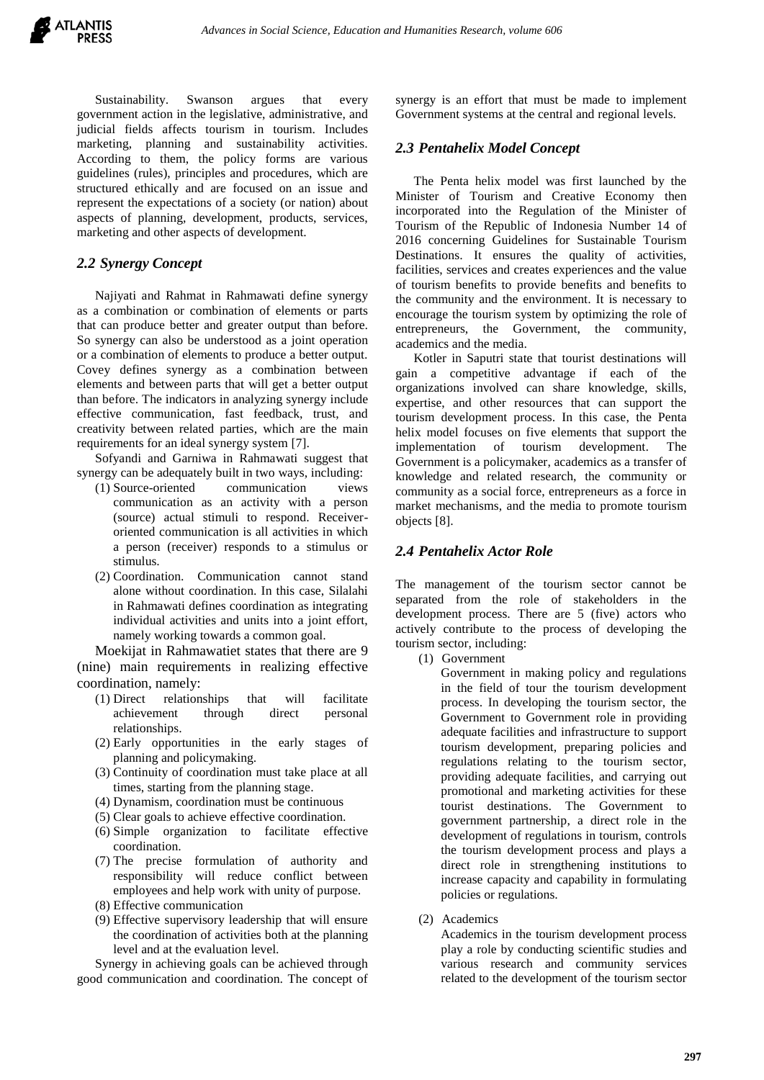Sustainability. Swanson argues that every government action in the legislative, administrative, and judicial fields affects tourism in tourism. Includes marketing, planning and sustainability activities. According to them, the policy forms are various guidelines (rules), principles and procedures, which are structured ethically and are focused on an issue and represent the expectations of a society (or nation) about aspects of planning, development, products, services, marketing and other aspects of development.

## *2.2 Synergy Concept*

Najiyati and Rahmat in Rahmawati define synergy as a combination or combination of elements or parts that can produce better and greater output than before. So synergy can also be understood as a joint operation or a combination of elements to produce a better output. Covey defines synergy as a combination between elements and between parts that will get a better output than before. The indicators in analyzing synergy include effective communication, fast feedback, trust, and creativity between related parties, which are the main requirements for an ideal synergy system [7].

Sofyandi and Garniwa in Rahmawati suggest that synergy can be adequately built in two ways, including:

- (1) Source-oriented communication views communication as an activity with a person (source) actual stimuli to respond. Receiveroriented communication is all activities in which a person (receiver) responds to a stimulus or stimulus.
- (2) Coordination. Communication cannot stand alone without coordination. In this case, Silalahi in Rahmawati defines coordination as integrating individual activities and units into a joint effort, namely working towards a common goal.

Moekijat in Rahmawatiet states that there are 9 (nine) main requirements in realizing effective coordination, namely:

- (1) Direct relationships that will facilitate achievement through direct personal relationships.
- (2) Early opportunities in the early stages of planning and policymaking.
- (3) Continuity of coordination must take place at all times, starting from the planning stage.
- (4) Dynamism, coordination must be continuous
- (5) Clear goals to achieve effective coordination.
- (6) Simple organization to facilitate effective coordination.
- (7) The precise formulation of authority and responsibility will reduce conflict between employees and help work with unity of purpose.
- (8) Effective communication
- (9) Effective supervisory leadership that will ensure the coordination of activities both at the planning level and at the evaluation level.

Synergy in achieving goals can be achieved through good communication and coordination. The concept of synergy is an effort that must be made to implement Government systems at the central and regional levels.

## *2.3 Pentahelix Model Concept*

The Penta helix model was first launched by the Minister of Tourism and Creative Economy then incorporated into the Regulation of the Minister of Tourism of the Republic of Indonesia Number 14 of 2016 concerning Guidelines for Sustainable Tourism Destinations. It ensures the quality of activities, facilities, services and creates experiences and the value of tourism benefits to provide benefits and benefits to the community and the environment. It is necessary to encourage the tourism system by optimizing the role of entrepreneurs, the Government, the community, academics and the media.

Kotler in Saputri state that tourist destinations will gain a competitive advantage if each of the organizations involved can share knowledge, skills, expertise, and other resources that can support the tourism development process. In this case, the Penta helix model focuses on five elements that support the implementation of tourism development. The Government is a policymaker, academics as a transfer of knowledge and related research, the community or community as a social force, entrepreneurs as a force in market mechanisms, and the media to promote tourism objects [8].

## *2.4 Pentahelix Actor Role*

The management of the tourism sector cannot be separated from the role of stakeholders in the development process. There are 5 (five) actors who actively contribute to the process of developing the tourism sector, including:

(1) Government

Government in making policy and regulations in the field of tour the tourism development process. In developing the tourism sector, the Government to Government role in providing adequate facilities and infrastructure to support tourism development, preparing policies and regulations relating to the tourism sector, providing adequate facilities, and carrying out promotional and marketing activities for these tourist destinations. The Government to government partnership, a direct role in the development of regulations in tourism, controls the tourism development process and plays a direct role in strengthening institutions to increase capacity and capability in formulating policies or regulations.

(2) Academics

Academics in the tourism development process play a role by conducting scientific studies and various research and community services related to the development of the tourism sector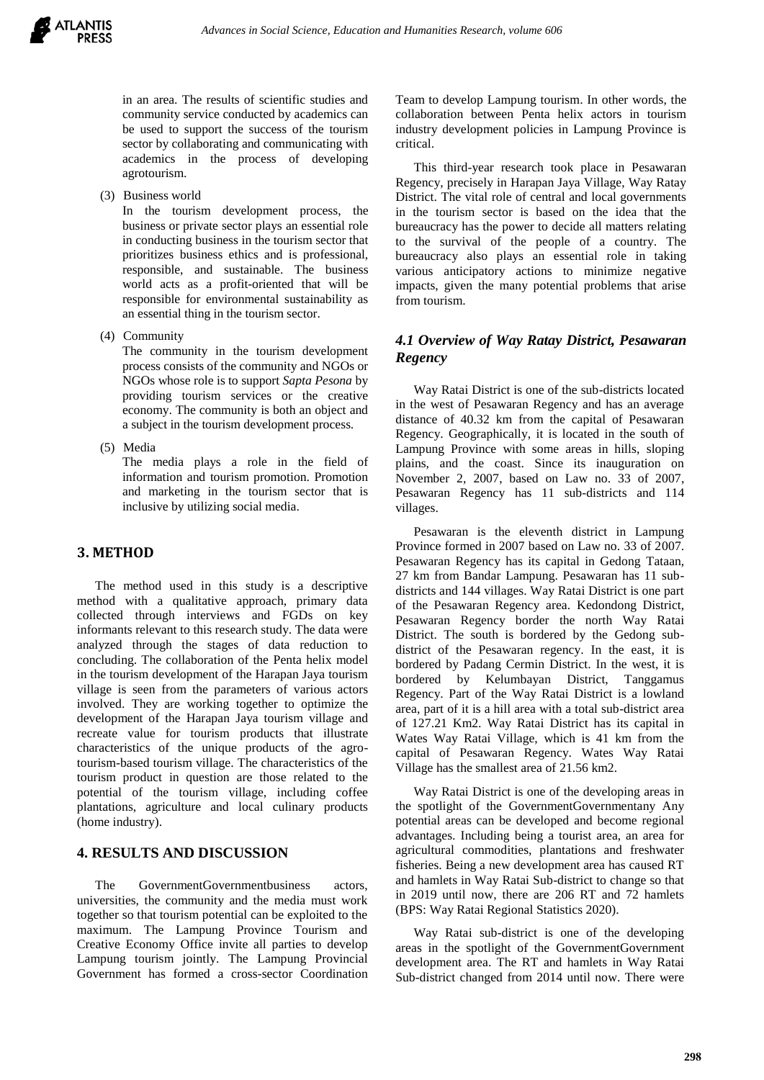

in an area. The results of scientific studies and community service conducted by academics can be used to support the success of the tourism sector by collaborating and communicating with academics in the process of developing agrotourism.

(3) Business world

In the tourism development process, the business or private sector plays an essential role in conducting business in the tourism sector that prioritizes business ethics and is professional, responsible, and sustainable. The business world acts as a profit-oriented that will be responsible for environmental sustainability as an essential thing in the tourism sector.

(4) Community

The community in the tourism development process consists of the community and NGOs or NGOs whose role is to support *Sapta Pesona* by providing tourism services or the creative economy. The community is both an object and a subject in the tourism development process.

(5) Media

The media plays a role in the field of information and tourism promotion. Promotion and marketing in the tourism sector that is inclusive by utilizing social media.

## **3. METHOD**

The method used in this study is a descriptive method with a qualitative approach, primary data collected through interviews and FGDs on key informants relevant to this research study. The data were analyzed through the stages of data reduction to concluding. The collaboration of the Penta helix model in the tourism development of the Harapan Jaya tourism village is seen from the parameters of various actors involved. They are working together to optimize the development of the Harapan Jaya tourism village and recreate value for tourism products that illustrate characteristics of the unique products of the agrotourism-based tourism village. The characteristics of the tourism product in question are those related to the potential of the tourism village, including coffee plantations, agriculture and local culinary products (home industry).

## **4. RESULTS AND DISCUSSION**

The GovernmentGovernmentbusiness actors, universities, the community and the media must work together so that tourism potential can be exploited to the maximum. The Lampung Province Tourism and Creative Economy Office invite all parties to develop Lampung tourism jointly. The Lampung Provincial Government has formed a cross-sector Coordination Team to develop Lampung tourism. In other words, the collaboration between Penta helix actors in tourism industry development policies in Lampung Province is critical.

This third-year research took place in Pesawaran Regency, precisely in Harapan Jaya Village, Way Ratay District. The vital role of central and local governments in the tourism sector is based on the idea that the bureaucracy has the power to decide all matters relating to the survival of the people of a country. The bureaucracy also plays an essential role in taking various anticipatory actions to minimize negative impacts, given the many potential problems that arise from tourism.

## *4.1 Overview of Way Ratay District, Pesawaran Regency*

Way Ratai District is one of the sub-districts located in the west of Pesawaran Regency and has an average distance of 40.32 km from the capital of Pesawaran Regency. Geographically, it is located in the south of Lampung Province with some areas in hills, sloping plains, and the coast. Since its inauguration on November 2, 2007, based on Law no. 33 of 2007, Pesawaran Regency has 11 sub-districts and 114 villages.

Pesawaran is the eleventh district in Lampung Province formed in 2007 based on Law no. 33 of 2007. Pesawaran Regency has its capital in Gedong Tataan, 27 km from Bandar Lampung. Pesawaran has 11 subdistricts and 144 villages. Way Ratai District is one part of the Pesawaran Regency area. Kedondong District, Pesawaran Regency border the north Way Ratai District. The south is bordered by the Gedong subdistrict of the Pesawaran regency. In the east, it is bordered by Padang Cermin District. In the west, it is bordered by Kelumbayan District, Tanggamus Regency. Part of the Way Ratai District is a lowland area, part of it is a hill area with a total sub-district area of 127.21 Km2. Way Ratai District has its capital in Wates Way Ratai Village, which is 41 km from the capital of Pesawaran Regency. Wates Way Ratai Village has the smallest area of 21.56 km2.

Way Ratai District is one of the developing areas in the spotlight of the GovernmentGovernmentany Any potential areas can be developed and become regional advantages. Including being a tourist area, an area for agricultural commodities, plantations and freshwater fisheries. Being a new development area has caused RT and hamlets in Way Ratai Sub-district to change so that in 2019 until now, there are 206 RT and 72 hamlets (BPS: Way Ratai Regional Statistics 2020).

Way Ratai sub-district is one of the developing areas in the spotlight of the GovernmentGovernment development area. The RT and hamlets in Way Ratai Sub-district changed from 2014 until now. There were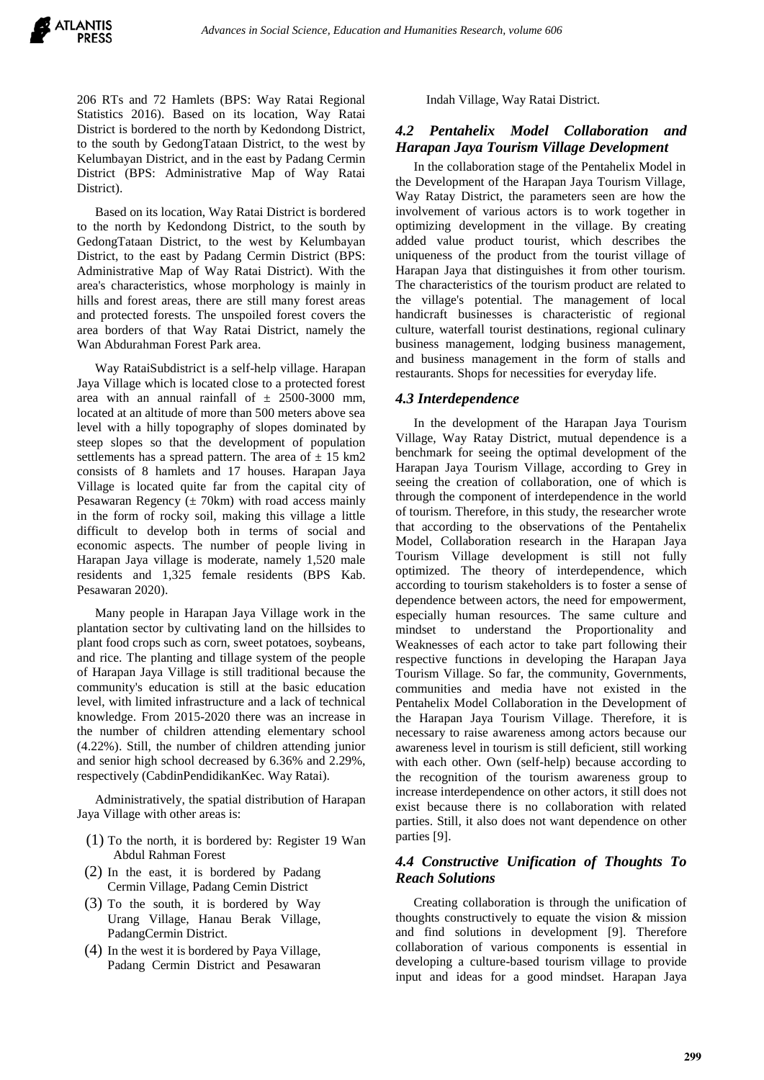206 RTs and 72 Hamlets (BPS: Way Ratai Regional Statistics 2016). Based on its location, Way Ratai District is bordered to the north by Kedondong District, to the south by GedongTataan District, to the west by Kelumbayan District, and in the east by Padang Cermin District (BPS: Administrative Map of Way Ratai District).

Based on its location, Way Ratai District is bordered to the north by Kedondong District, to the south by GedongTataan District, to the west by Kelumbayan District, to the east by Padang Cermin District (BPS: Administrative Map of Way Ratai District). With the area's characteristics, whose morphology is mainly in hills and forest areas, there are still many forest areas and protected forests. The unspoiled forest covers the area borders of that Way Ratai District, namely the Wan Abdurahman Forest Park area.

Way RataiSubdistrict is a self-help village. Harapan Jaya Village which is located close to a protected forest area with an annual rainfall of  $\pm$  2500-3000 mm, located at an altitude of more than 500 meters above sea level with a hilly topography of slopes dominated by steep slopes so that the development of population settlements has a spread pattern. The area of  $\pm$  15 km2 consists of 8 hamlets and 17 houses. Harapan Jaya Village is located quite far from the capital city of Pesawaran Regency  $(\pm 70km)$  with road access mainly in the form of rocky soil, making this village a little difficult to develop both in terms of social and economic aspects. The number of people living in Harapan Jaya village is moderate, namely 1,520 male residents and 1,325 female residents (BPS Kab. Pesawaran 2020).

Many people in Harapan Jaya Village work in the plantation sector by cultivating land on the hillsides to plant food crops such as corn, sweet potatoes, soybeans, and rice. The planting and tillage system of the people of Harapan Jaya Village is still traditional because the community's education is still at the basic education level, with limited infrastructure and a lack of technical knowledge. From 2015-2020 there was an increase in the number of children attending elementary school (4.22%). Still, the number of children attending junior and senior high school decreased by 6.36% and 2.29%, respectively (CabdinPendidikanKec. Way Ratai).

Administratively, the spatial distribution of Harapan Jaya Village with other areas is:

- (1) To the north, it is bordered by: Register 19 Wan Abdul Rahman Forest
- (2) In the east, it is bordered by Padang Cermin Village, Padang Cemin District
- (3) To the south, it is bordered by Way Urang Village, Hanau Berak Village, PadangCermin District.
- (4) In the west it is bordered by Paya Village, Padang Cermin District and Pesawaran

Indah Village, Way Ratai District.

## *4.2 Pentahelix Model Collaboration and Harapan Jaya Tourism Village Development*

In the collaboration stage of the Pentahelix Model in the Development of the Harapan Jaya Tourism Village, Way Ratay District, the parameters seen are how the involvement of various actors is to work together in optimizing development in the village. By creating added value product tourist, which describes the uniqueness of the product from the tourist village of Harapan Jaya that distinguishes it from other tourism. The characteristics of the tourism product are related to the village's potential. The management of local handicraft businesses is characteristic of regional culture, waterfall tourist destinations, regional culinary business management, lodging business management, and business management in the form of stalls and restaurants. Shops for necessities for everyday life.

#### *4.3 Interdependence*

In the development of the Harapan Jaya Tourism Village, Way Ratay District, mutual dependence is a benchmark for seeing the optimal development of the Harapan Jaya Tourism Village, according to Grey in seeing the creation of collaboration, one of which is through the component of interdependence in the world of tourism. Therefore, in this study, the researcher wrote that according to the observations of the Pentahelix Model, Collaboration research in the Harapan Jaya Tourism Village development is still not fully optimized. The theory of interdependence, which according to tourism stakeholders is to foster a sense of dependence between actors, the need for empowerment, especially human resources. The same culture and mindset to understand the Proportionality and Weaknesses of each actor to take part following their respective functions in developing the Harapan Jaya Tourism Village. So far, the community, Governments, communities and media have not existed in the Pentahelix Model Collaboration in the Development of the Harapan Jaya Tourism Village. Therefore, it is necessary to raise awareness among actors because our awareness level in tourism is still deficient, still working with each other. Own (self-help) because according to the recognition of the tourism awareness group to increase interdependence on other actors, it still does not exist because there is no collaboration with related parties. Still, it also does not want dependence on other parties [9].

## *4.4 Constructive Unification of Thoughts To Reach Solutions*

Creating collaboration is through the unification of thoughts constructively to equate the vision & mission and find solutions in development [9]. Therefore collaboration of various components is essential in developing a culture-based tourism village to provide input and ideas for a good mindset. Harapan Jaya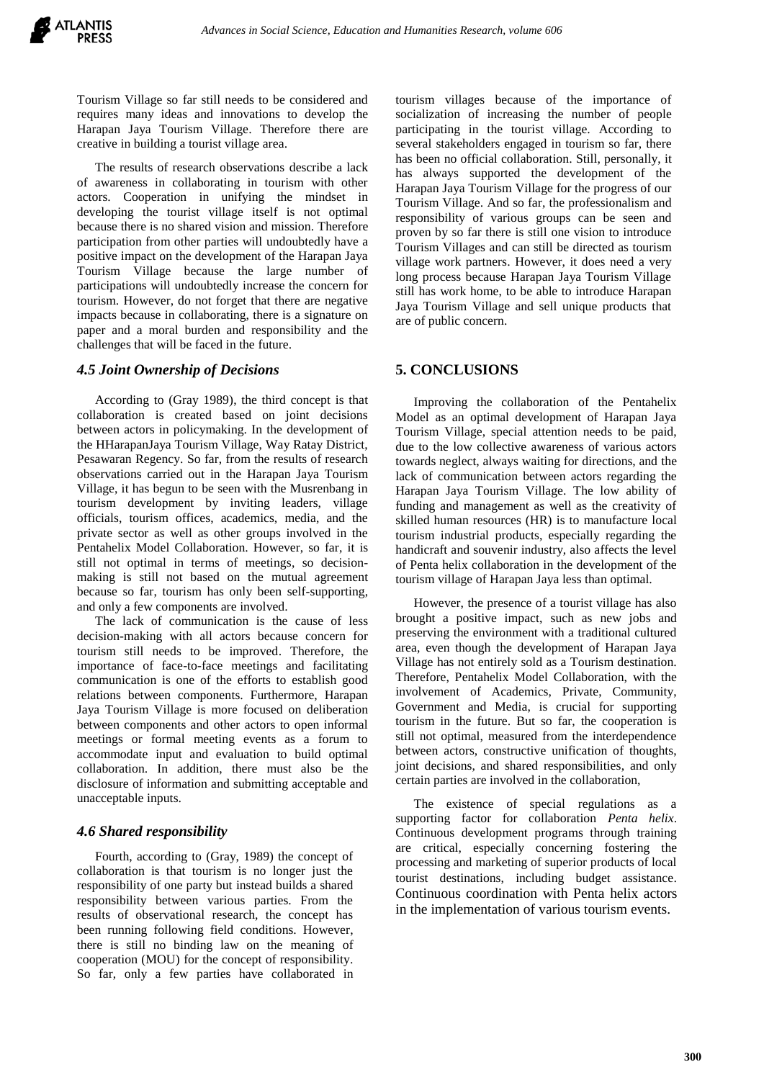Tourism Village so far still needs to be considered and requires many ideas and innovations to develop the Harapan Jaya Tourism Village. Therefore there are creative in building a tourist village area.

The results of research observations describe a lack of awareness in collaborating in tourism with other actors. Cooperation in unifying the mindset in developing the tourist village itself is not optimal because there is no shared vision and mission. Therefore participation from other parties will undoubtedly have a positive impact on the development of the Harapan Jaya Tourism Village because the large number of participations will undoubtedly increase the concern for tourism. However, do not forget that there are negative impacts because in collaborating, there is a signature on paper and a moral burden and responsibility and the challenges that will be faced in the future.

#### *4.5 Joint Ownership of Decisions*

According to (Gray 1989), the third concept is that collaboration is created based on joint decisions between actors in policymaking. In the development of the HHarapanJaya Tourism Village, Way Ratay District, Pesawaran Regency. So far, from the results of research observations carried out in the Harapan Jaya Tourism Village, it has begun to be seen with the Musrenbang in tourism development by inviting leaders, village officials, tourism offices, academics, media, and the private sector as well as other groups involved in the Pentahelix Model Collaboration. However, so far, it is still not optimal in terms of meetings, so decisionmaking is still not based on the mutual agreement because so far, tourism has only been self-supporting, and only a few components are involved.

The lack of communication is the cause of less decision-making with all actors because concern for tourism still needs to be improved. Therefore, the importance of face-to-face meetings and facilitating communication is one of the efforts to establish good relations between components. Furthermore, Harapan Jaya Tourism Village is more focused on deliberation between components and other actors to open informal meetings or formal meeting events as a forum to accommodate input and evaluation to build optimal collaboration. In addition, there must also be the disclosure of information and submitting acceptable and unacceptable inputs.

#### *4.6 Shared responsibility*

Fourth, according to (Gray, 1989) the concept of collaboration is that tourism is no longer just the responsibility of one party but instead builds a shared responsibility between various parties. From the results of observational research, the concept has been running following field conditions. However, there is still no binding law on the meaning of cooperation (MOU) for the concept of responsibility. So far, only a few parties have collaborated in

tourism villages because of the importance of socialization of increasing the number of people participating in the tourist village. According to several stakeholders engaged in tourism so far, there has been no official collaboration. Still, personally, it has always supported the development of the Harapan Jaya Tourism Village for the progress of our Tourism Village. And so far, the professionalism and responsibility of various groups can be seen and proven by so far there is still one vision to introduce Tourism Villages and can still be directed as tourism village work partners. However, it does need a very long process because Harapan Jaya Tourism Village still has work home, to be able to introduce Harapan Jaya Tourism Village and sell unique products that are of public concern.

#### **5. CONCLUSIONS**

Improving the collaboration of the Pentahelix Model as an optimal development of Harapan Jaya Tourism Village, special attention needs to be paid, due to the low collective awareness of various actors towards neglect, always waiting for directions, and the lack of communication between actors regarding the Harapan Jaya Tourism Village. The low ability of funding and management as well as the creativity of skilled human resources (HR) is to manufacture local tourism industrial products, especially regarding the handicraft and souvenir industry, also affects the level of Penta helix collaboration in the development of the tourism village of Harapan Jaya less than optimal.

However, the presence of a tourist village has also brought a positive impact, such as new jobs and preserving the environment with a traditional cultured area, even though the development of Harapan Jaya Village has not entirely sold as a Tourism destination. Therefore, Pentahelix Model Collaboration, with the involvement of Academics, Private, Community, Government and Media, is crucial for supporting tourism in the future. But so far, the cooperation is still not optimal, measured from the interdependence between actors, constructive unification of thoughts, joint decisions, and shared responsibilities, and only certain parties are involved in the collaboration,

The existence of special regulations as a supporting factor for collaboration *Penta helix*. Continuous development programs through training are critical, especially concerning fostering the processing and marketing of superior products of local tourist destinations, including budget assistance. Continuous coordination with Penta helix actors in the implementation of various tourism events.